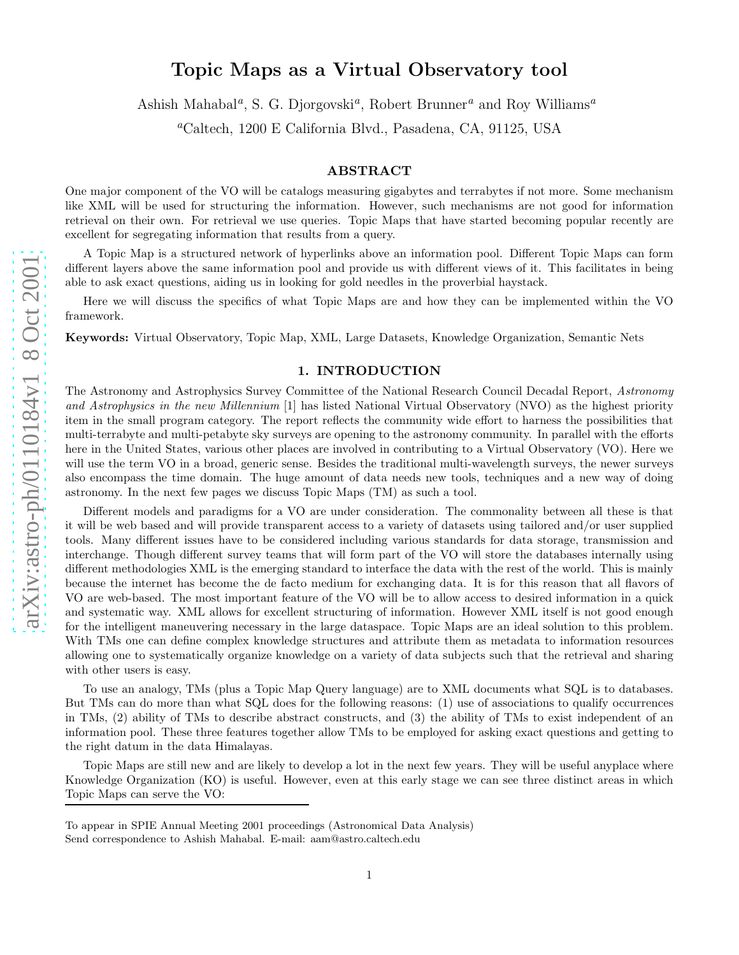# Topic Maps as a Virtual Observatory tool

Ashish Mahabal<sup>*a*</sup>, S. G. Djorgovski<sup>*a*</sup>, Robert Brunner<sup>*a*</sup> and Roy Williams<sup>*a*</sup>

<sup>a</sup>Caltech, 1200 E California Blvd., Pasadena, CA, 91125, USA

#### ABSTRACT

One major component of the VO will be catalogs measuring gigabytes and terrabytes if not more. Some mechanism like XML will be used for structuring the information. However, such mechanisms are not good for information retrieval on their own. For retrieval we use queries. Topic Maps that have started becoming popular recently are excellent for segregating information that results from a query.

A Topic Map is a structured network of hyperlinks above an information pool. Different Topic Maps can form different layers above the same information pool and provide us with different views of it. This facilitates in being able to ask exact questions, aiding us in looking for gold needles in the proverbial haystack.

Here we will discuss the specifics of what Topic Maps are and how they can be implemented within the VO framework.

Keywords: Virtual Observatory, Topic Map, XML, Large Datasets, Knowledge Organization, Semantic Nets

# 1. INTRODUCTION

The Astronomy and Astrophysics Survey Committee of the National Research Council Decadal Report, Astronomy and Astrophysics in the new Millennium [1] has listed National Virtual Observatory (NVO) as the highest priority item in the small program category. The report reflects the community wide effort to harness the possibilities that multi-terrabyte and multi-petabyte sky surveys are opening to the astronomy community. In parallel with the efforts here in the United States, various other places are involved in contributing to a Virtual Observatory (VO). Here we will use the term VO in a broad, generic sense. Besides the traditional multi-wavelength surveys, the newer surveys also encompass the time domain. The huge amount of data needs new tools, techniques and a new way of doing astronomy. In the next few pages we discuss Topic Maps (TM) as such a tool.

Different models and paradigms for a VO are under consideration. The commonality between all these is that it will be web based and will provide transparent access to a variety of datasets using tailored and/or user supplied tools. Many different issues have to be considered including various standards for data storage, transmission and interchange. Though different survey teams that will form part of the VO will store the databases internally using different methodologies XML is the emerging standard to interface the data with the rest of the world. This is mainly because the internet has become the de facto medium for exchanging data. It is for this reason that all flavors of VO are web-based. The most important feature of the VO will be to allow access to desired information in a quick and systematic way. XML allows for excellent structuring of information. However XML itself is not good enough for the intelligent maneuvering necessary in the large dataspace. Topic Maps are an ideal solution to this problem. With TMs one can define complex knowledge structures and attribute them as metadata to information resources allowing one to systematically organize knowledge on a variety of data subjects such that the retrieval and sharing with other users is easy.

To use an analogy, TMs (plus a Topic Map Query language) are to XML documents what SQL is to databases. But TMs can do more than what SQL does for the following reasons: (1) use of associations to qualify occurrences in TMs, (2) ability of TMs to describe abstract constructs, and (3) the ability of TMs to exist independent of an information pool. These three features together allow TMs to be employed for asking exact questions and getting to the right datum in the data Himalayas.

Topic Maps are still new and are likely to develop a lot in the next few years. They will be useful anyplace where Knowledge Organization (KO) is useful. However, even at this early stage we can see three distinct areas in which Topic Maps can serve the VO:

To appear in SPIE Annual Meeting 2001 proceedings (Astronomical Data Analysis) Send correspondence to Ashish Mahabal. E-mail: aam@astro.caltech.edu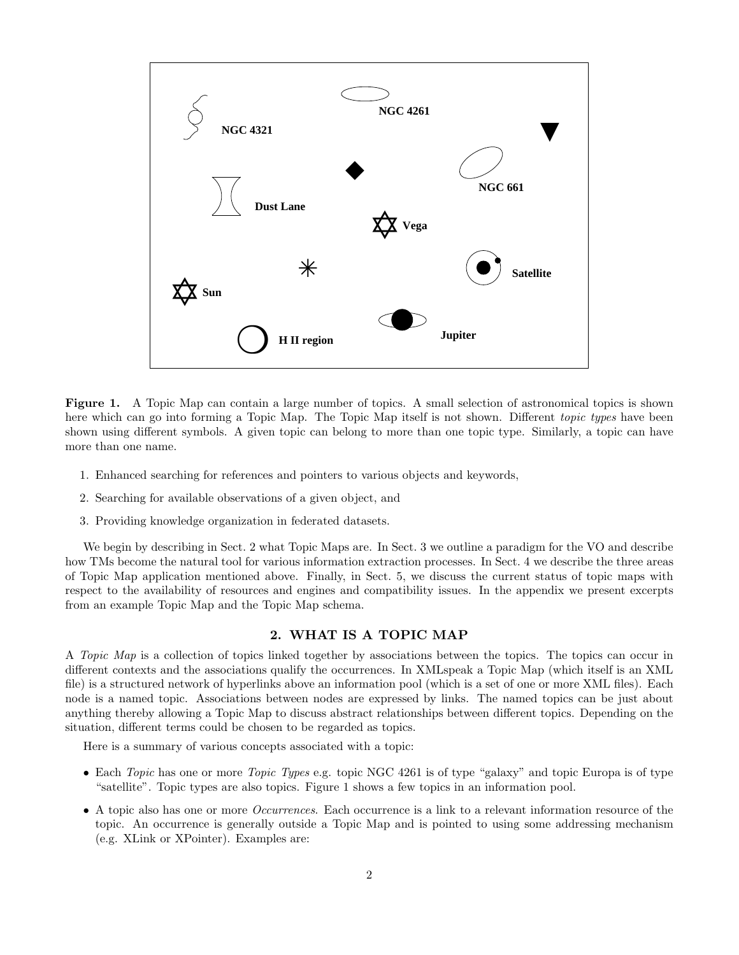

Figure 1. A Topic Map can contain a large number of topics. A small selection of astronomical topics is shown here which can go into forming a Topic Map. The Topic Map itself is not shown. Different *topic types* have been shown using different symbols. A given topic can belong to more than one topic type. Similarly, a topic can have more than one name.

- 1. Enhanced searching for references and pointers to various objects and keywords,
- 2. Searching for available observations of a given object, and
- 3. Providing knowledge organization in federated datasets.

We begin by describing in Sect. 2 what Topic Maps are. In Sect. 3 we outline a paradigm for the VO and describe how TMs become the natural tool for various information extraction processes. In Sect. 4 we describe the three areas of Topic Map application mentioned above. Finally, in Sect. 5, we discuss the current status of topic maps with respect to the availability of resources and engines and compatibility issues. In the appendix we present excerpts from an example Topic Map and the Topic Map schema.

## 2. WHAT IS A TOPIC MAP

A Topic Map is a collection of topics linked together by associations between the topics. The topics can occur in different contexts and the associations qualify the occurrences. In XMLspeak a Topic Map (which itself is an XML file) is a structured network of hyperlinks above an information pool (which is a set of one or more XML files). Each node is a named topic. Associations between nodes are expressed by links. The named topics can be just about anything thereby allowing a Topic Map to discuss abstract relationships between different topics. Depending on the situation, different terms could be chosen to be regarded as topics.

Here is a summary of various concepts associated with a topic:

- Each *Topic* has one or more *Topic Types* e.g. topic NGC 4261 is of type "galaxy" and topic Europa is of type "satellite". Topic types are also topics. Figure 1 shows a few topics in an information pool.
- A topic also has one or more *Occurrences*. Each occurrence is a link to a relevant information resource of the topic. An occurrence is generally outside a Topic Map and is pointed to using some addressing mechanism (e.g. XLink or XPointer). Examples are: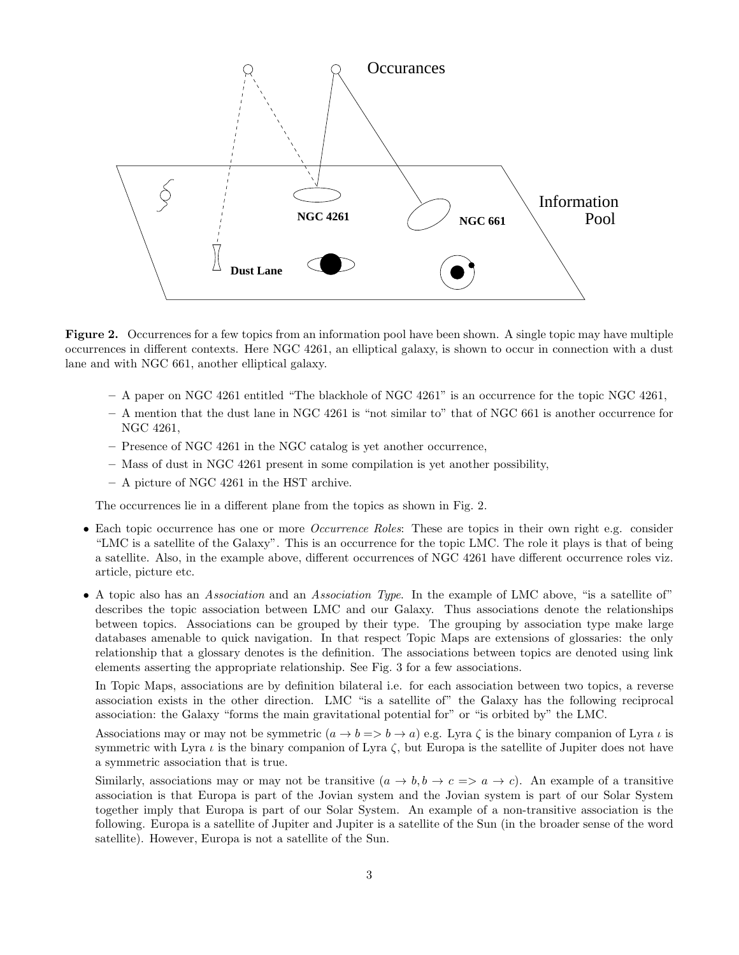

Figure 2. Occurrences for a few topics from an information pool have been shown. A single topic may have multiple occurrences in different contexts. Here NGC 4261, an elliptical galaxy, is shown to occur in connection with a dust lane and with NGC 661, another elliptical galaxy.

- A paper on NGC 4261 entitled "The blackhole of NGC 4261" is an occurrence for the topic NGC 4261,
- A mention that the dust lane in NGC 4261 is "not similar to" that of NGC 661 is another occurrence for NGC 4261,
- Presence of NGC 4261 in the NGC catalog is yet another occurrence,
- Mass of dust in NGC 4261 present in some compilation is yet another possibility,
- A picture of NGC 4261 in the HST archive.

The occurrences lie in a different plane from the topics as shown in Fig. 2.

- Each topic occurrence has one or more Occurrence Roles: These are topics in their own right e.g. consider "LMC is a satellite of the Galaxy". This is an occurrence for the topic LMC. The role it plays is that of being a satellite. Also, in the example above, different occurrences of NGC 4261 have different occurrence roles viz. article, picture etc.
- A topic also has an Association and an Association Type. In the example of LMC above, "is a satellite of" describes the topic association between LMC and our Galaxy. Thus associations denote the relationships between topics. Associations can be grouped by their type. The grouping by association type make large databases amenable to quick navigation. In that respect Topic Maps are extensions of glossaries: the only relationship that a glossary denotes is the definition. The associations between topics are denoted using link elements asserting the appropriate relationship. See Fig. 3 for a few associations.

In Topic Maps, associations are by definition bilateral i.e. for each association between two topics, a reverse association exists in the other direction. LMC "is a satellite of" the Galaxy has the following reciprocal association: the Galaxy "forms the main gravitational potential for" or "is orbited by" the LMC.

Associations may or may not be symmetric  $(a \to b \to b \to a)$  e.g. Lyra  $\zeta$  is the binary companion of Lyra  $\iota$  is symmetric with Lyra  $\iota$  is the binary companion of Lyra  $\zeta$ , but Europa is the satellite of Jupiter does not have a symmetric association that is true.

Similarly, associations may or may not be transitive  $(a \to b, b \to c \implies a \to c)$ . An example of a transitive association is that Europa is part of the Jovian system and the Jovian system is part of our Solar System together imply that Europa is part of our Solar System. An example of a non-transitive association is the following. Europa is a satellite of Jupiter and Jupiter is a satellite of the Sun (in the broader sense of the word satellite). However, Europa is not a satellite of the Sun.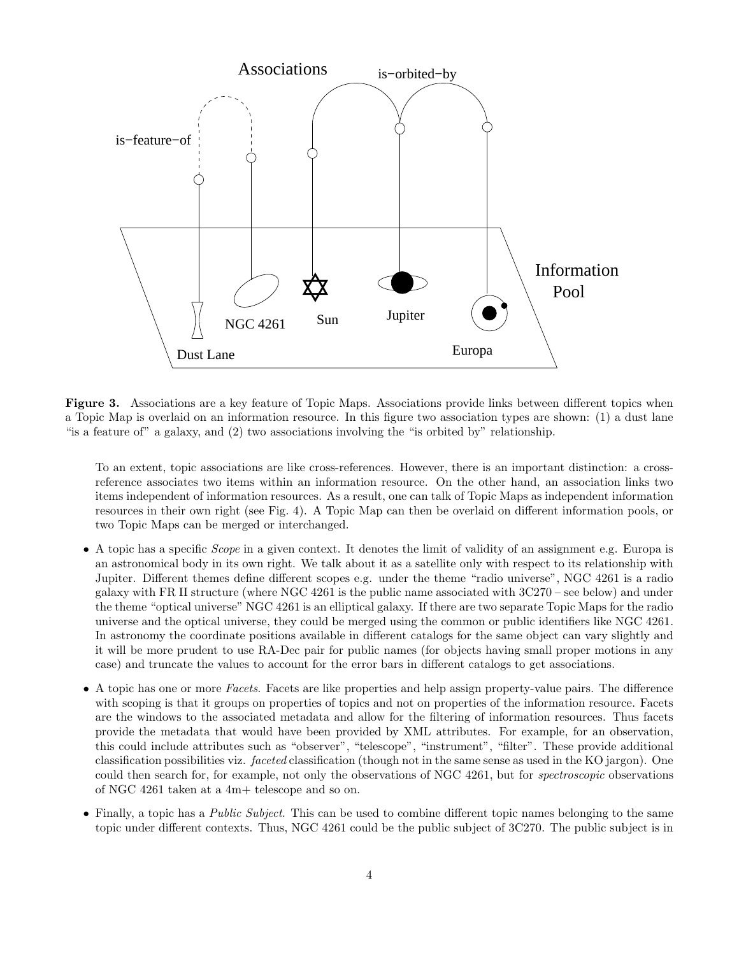

Figure 3. Associations are a key feature of Topic Maps. Associations provide links between different topics when a Topic Map is overlaid on an information resource. In this figure two association types are shown: (1) a dust lane "is a feature of" a galaxy, and (2) two associations involving the "is orbited by" relationship.

To an extent, topic associations are like cross-references. However, there is an important distinction: a crossreference associates two items within an information resource. On the other hand, an association links two items independent of information resources. As a result, one can talk of Topic Maps as independent information resources in their own right (see Fig. 4). A Topic Map can then be overlaid on different information pools, or two Topic Maps can be merged or interchanged.

- A topic has a specific Scope in a given context. It denotes the limit of validity of an assignment e.g. Europa is an astronomical body in its own right. We talk about it as a satellite only with respect to its relationship with Jupiter. Different themes define different scopes e.g. under the theme "radio universe", NGC 4261 is a radio galaxy with FR II structure (where NGC 4261 is the public name associated with 3C270 – see below) and under the theme "optical universe" NGC 4261 is an elliptical galaxy. If there are two separate Topic Maps for the radio universe and the optical universe, they could be merged using the common or public identifiers like NGC 4261. In astronomy the coordinate positions available in different catalogs for the same object can vary slightly and it will be more prudent to use RA-Dec pair for public names (for objects having small proper motions in any case) and truncate the values to account for the error bars in different catalogs to get associations.
- A topic has one or more Facets. Facets are like properties and help assign property-value pairs. The difference with scoping is that it groups on properties of topics and not on properties of the information resource. Facets are the windows to the associated metadata and allow for the filtering of information resources. Thus facets provide the metadata that would have been provided by XML attributes. For example, for an observation, this could include attributes such as "observer", "telescope", "instrument", "filter". These provide additional classification possibilities viz. faceted classification (though not in the same sense as used in the KO jargon). One could then search for, for example, not only the observations of NGC 4261, but for spectroscopic observations of NGC 4261 taken at a 4m+ telescope and so on.
- Finally, a topic has a *Public Subject*. This can be used to combine different topic names belonging to the same topic under different contexts. Thus, NGC 4261 could be the public subject of 3C270. The public subject is in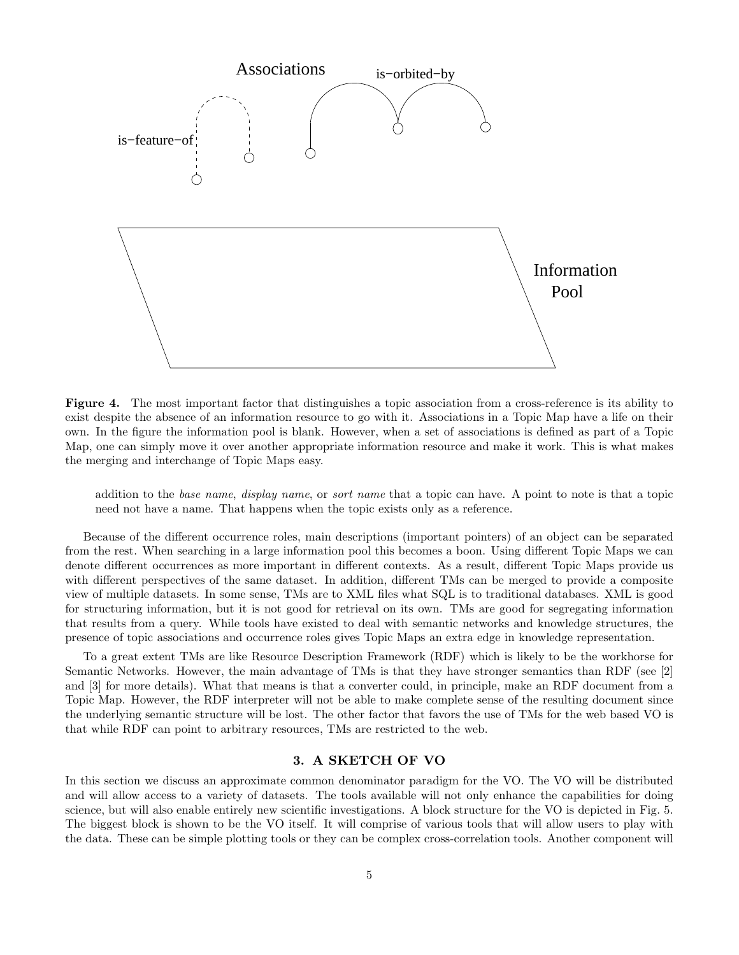

Figure 4. The most important factor that distinguishes a topic association from a cross-reference is its ability to exist despite the absence of an information resource to go with it. Associations in a Topic Map have a life on their own. In the figure the information pool is blank. However, when a set of associations is defined as part of a Topic Map, one can simply move it over another appropriate information resource and make it work. This is what makes the merging and interchange of Topic Maps easy.

addition to the base name, display name, or sort name that a topic can have. A point to note is that a topic need not have a name. That happens when the topic exists only as a reference.

Because of the different occurrence roles, main descriptions (important pointers) of an object can be separated from the rest. When searching in a large information pool this becomes a boon. Using different Topic Maps we can denote different occurrences as more important in different contexts. As a result, different Topic Maps provide us with different perspectives of the same dataset. In addition, different TMs can be merged to provide a composite view of multiple datasets. In some sense, TMs are to XML files what SQL is to traditional databases. XML is good for structuring information, but it is not good for retrieval on its own. TMs are good for segregating information that results from a query. While tools have existed to deal with semantic networks and knowledge structures, the presence of topic associations and occurrence roles gives Topic Maps an extra edge in knowledge representation.

To a great extent TMs are like Resource Description Framework (RDF) which is likely to be the workhorse for Semantic Networks. However, the main advantage of TMs is that they have stronger semantics than RDF (see [2] and [3] for more details). What that means is that a converter could, in principle, make an RDF document from a Topic Map. However, the RDF interpreter will not be able to make complete sense of the resulting document since the underlying semantic structure will be lost. The other factor that favors the use of TMs for the web based VO is that while RDF can point to arbitrary resources, TMs are restricted to the web.

#### 3. A SKETCH OF VO

In this section we discuss an approximate common denominator paradigm for the VO. The VO will be distributed and will allow access to a variety of datasets. The tools available will not only enhance the capabilities for doing science, but will also enable entirely new scientific investigations. A block structure for the VO is depicted in Fig. 5. The biggest block is shown to be the VO itself. It will comprise of various tools that will allow users to play with the data. These can be simple plotting tools or they can be complex cross-correlation tools. Another component will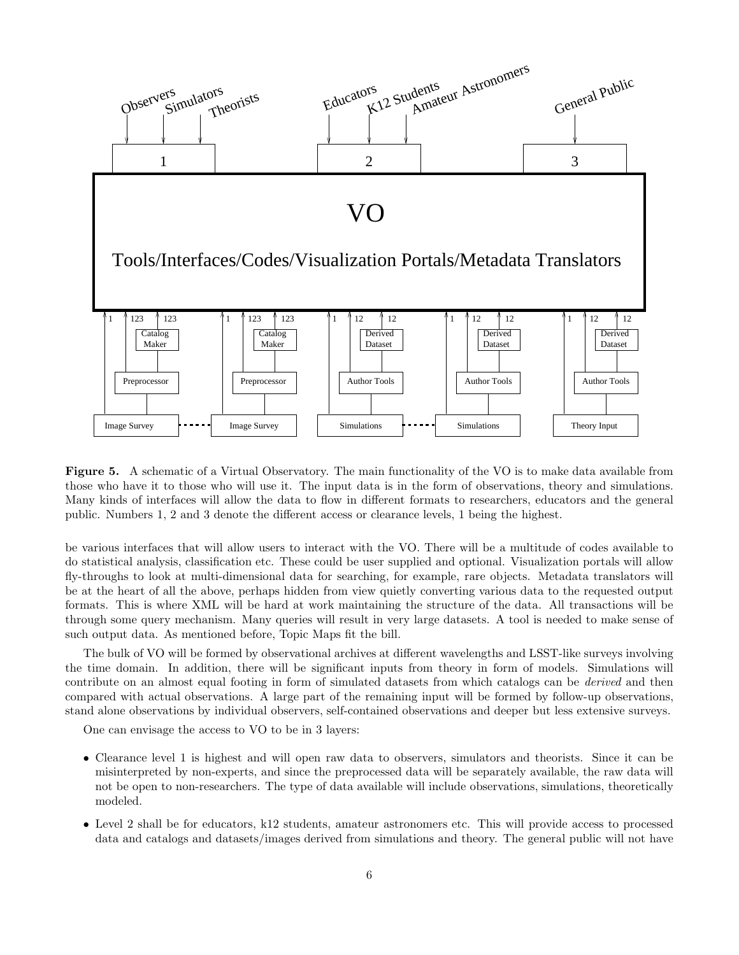

Figure 5. A schematic of a Virtual Observatory. The main functionality of the VO is to make data available from those who have it to those who will use it. The input data is in the form of observations, theory and simulations. Many kinds of interfaces will allow the data to flow in different formats to researchers, educators and the general public. Numbers 1, 2 and 3 denote the different access or clearance levels, 1 being the highest.

be various interfaces that will allow users to interact with the VO. There will be a multitude of codes available to do statistical analysis, classification etc. These could be user supplied and optional. Visualization portals will allow fly-throughs to look at multi-dimensional data for searching, for example, rare objects. Metadata translators will be at the heart of all the above, perhaps hidden from view quietly converting various data to the requested output formats. This is where XML will be hard at work maintaining the structure of the data. All transactions will be through some query mechanism. Many queries will result in very large datasets. A tool is needed to make sense of such output data. As mentioned before, Topic Maps fit the bill.

The bulk of VO will be formed by observational archives at different wavelengths and LSST-like surveys involving the time domain. In addition, there will be significant inputs from theory in form of models. Simulations will contribute on an almost equal footing in form of simulated datasets from which catalogs can be *derived* and then compared with actual observations. A large part of the remaining input will be formed by follow-up observations, stand alone observations by individual observers, self-contained observations and deeper but less extensive surveys.

One can envisage the access to VO to be in 3 layers:

- Clearance level 1 is highest and will open raw data to observers, simulators and theorists. Since it can be misinterpreted by non-experts, and since the preprocessed data will be separately available, the raw data will not be open to non-researchers. The type of data available will include observations, simulations, theoretically modeled.
- Level 2 shall be for educators, k12 students, amateur astronomers etc. This will provide access to processed data and catalogs and datasets/images derived from simulations and theory. The general public will not have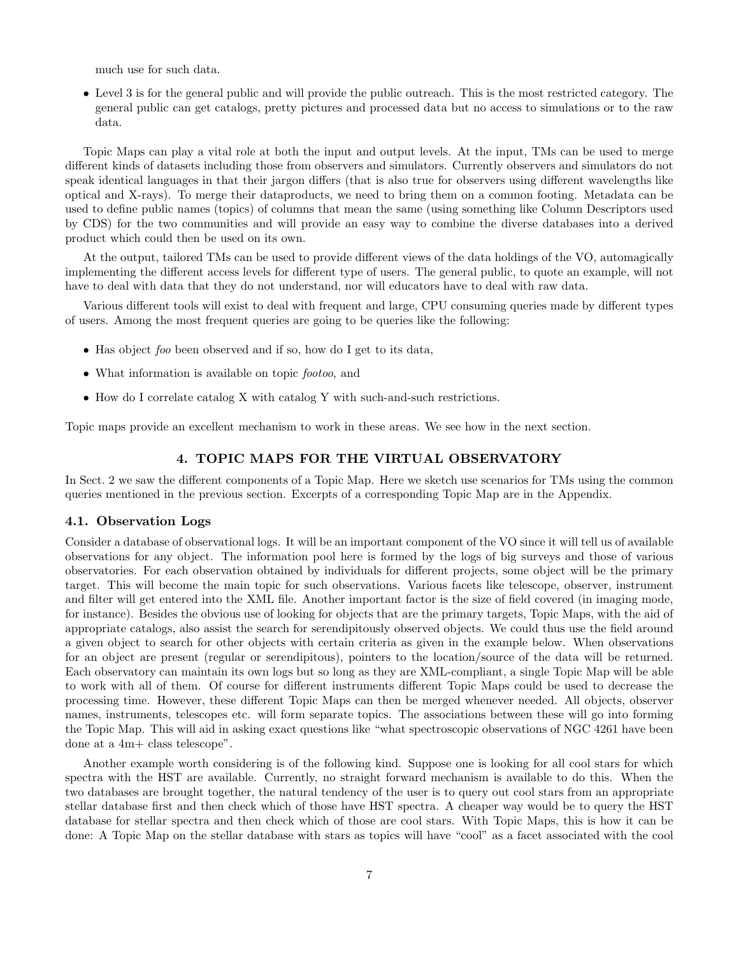much use for such data.

• Level 3 is for the general public and will provide the public outreach. This is the most restricted category. The general public can get catalogs, pretty pictures and processed data but no access to simulations or to the raw data.

Topic Maps can play a vital role at both the input and output levels. At the input, TMs can be used to merge different kinds of datasets including those from observers and simulators. Currently observers and simulators do not speak identical languages in that their jargon differs (that is also true for observers using different wavelengths like optical and X-rays). To merge their dataproducts, we need to bring them on a common footing. Metadata can be used to define public names (topics) of columns that mean the same (using something like Column Descriptors used by CDS) for the two communities and will provide an easy way to combine the diverse databases into a derived product which could then be used on its own.

At the output, tailored TMs can be used to provide different views of the data holdings of the VO, automagically implementing the different access levels for different type of users. The general public, to quote an example, will not have to deal with data that they do not understand, nor will educators have to deal with raw data.

Various different tools will exist to deal with frequent and large, CPU consuming queries made by different types of users. Among the most frequent queries are going to be queries like the following:

- Has object *foo* been observed and if so, how do I get to its data,
- What information is available on topic *footoo*, and
- How do I correlate catalog X with catalog Y with such-and-such restrictions.

Topic maps provide an excellent mechanism to work in these areas. We see how in the next section.

# 4. TOPIC MAPS FOR THE VIRTUAL OBSERVATORY

In Sect. 2 we saw the different components of a Topic Map. Here we sketch use scenarios for TMs using the common queries mentioned in the previous section. Excerpts of a corresponding Topic Map are in the Appendix.

#### 4.1. Observation Logs

Consider a database of observational logs. It will be an important component of the VO since it will tell us of available observations for any object. The information pool here is formed by the logs of big surveys and those of various observatories. For each observation obtained by individuals for different projects, some object will be the primary target. This will become the main topic for such observations. Various facets like telescope, observer, instrument and filter will get entered into the XML file. Another important factor is the size of field covered (in imaging mode, for instance). Besides the obvious use of looking for objects that are the primary targets, Topic Maps, with the aid of appropriate catalogs, also assist the search for serendipitously observed objects. We could thus use the field around a given object to search for other objects with certain criteria as given in the example below. When observations for an object are present (regular or serendipitous), pointers to the location/source of the data will be returned. Each observatory can maintain its own logs but so long as they are XML-compliant, a single Topic Map will be able to work with all of them. Of course for different instruments different Topic Maps could be used to decrease the processing time. However, these different Topic Maps can then be merged whenever needed. All objects, observer names, instruments, telescopes etc. will form separate topics. The associations between these will go into forming the Topic Map. This will aid in asking exact questions like "what spectroscopic observations of NGC 4261 have been done at a 4m+ class telescope".

Another example worth considering is of the following kind. Suppose one is looking for all cool stars for which spectra with the HST are available. Currently, no straight forward mechanism is available to do this. When the two databases are brought together, the natural tendency of the user is to query out cool stars from an appropriate stellar database first and then check which of those have HST spectra. A cheaper way would be to query the HST database for stellar spectra and then check which of those are cool stars. With Topic Maps, this is how it can be done: A Topic Map on the stellar database with stars as topics will have "cool" as a facet associated with the cool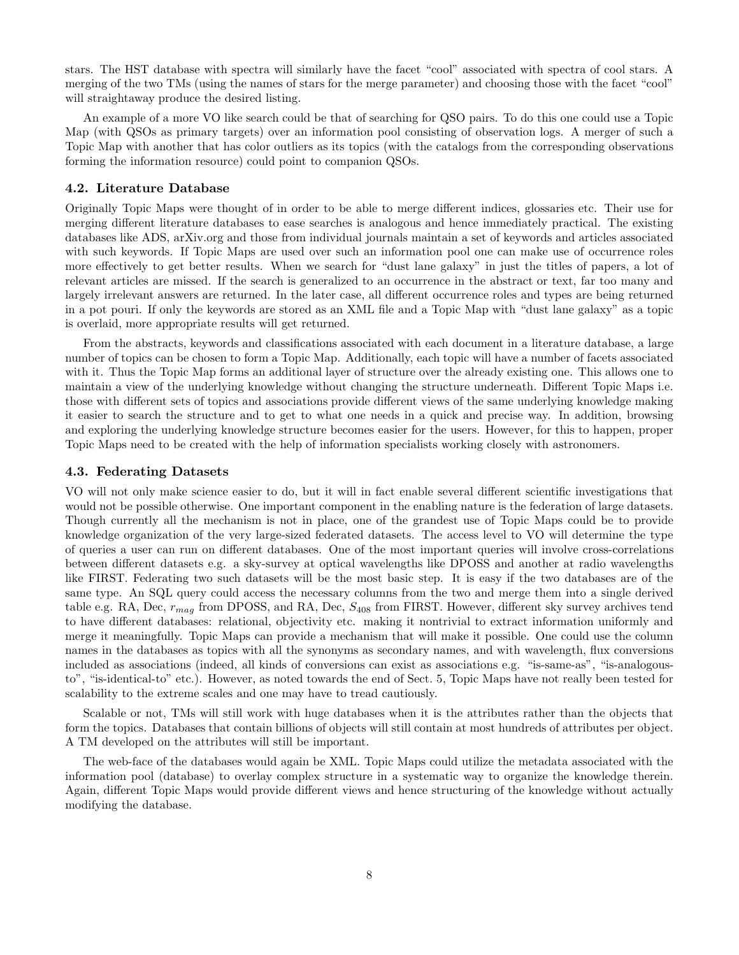stars. The HST database with spectra will similarly have the facet "cool" associated with spectra of cool stars. A merging of the two TMs (using the names of stars for the merge parameter) and choosing those with the facet "cool" will straightaway produce the desired listing.

An example of a more VO like search could be that of searching for QSO pairs. To do this one could use a Topic Map (with QSOs as primary targets) over an information pool consisting of observation logs. A merger of such a Topic Map with another that has color outliers as its topics (with the catalogs from the corresponding observations forming the information resource) could point to companion QSOs.

#### 4.2. Literature Database

Originally Topic Maps were thought of in order to be able to merge different indices, glossaries etc. Their use for merging different literature databases to ease searches is analogous and hence immediately practical. The existing databases like ADS, arXiv.org and those from individual journals maintain a set of keywords and articles associated with such keywords. If Topic Maps are used over such an information pool one can make use of occurrence roles more effectively to get better results. When we search for "dust lane galaxy" in just the titles of papers, a lot of relevant articles are missed. If the search is generalized to an occurrence in the abstract or text, far too many and largely irrelevant answers are returned. In the later case, all different occurrence roles and types are being returned in a pot pouri. If only the keywords are stored as an XML file and a Topic Map with "dust lane galaxy" as a topic is overlaid, more appropriate results will get returned.

From the abstracts, keywords and classifications associated with each document in a literature database, a large number of topics can be chosen to form a Topic Map. Additionally, each topic will have a number of facets associated with it. Thus the Topic Map forms an additional layer of structure over the already existing one. This allows one to maintain a view of the underlying knowledge without changing the structure underneath. Different Topic Maps i.e. those with different sets of topics and associations provide different views of the same underlying knowledge making it easier to search the structure and to get to what one needs in a quick and precise way. In addition, browsing and exploring the underlying knowledge structure becomes easier for the users. However, for this to happen, proper Topic Maps need to be created with the help of information specialists working closely with astronomers.

## 4.3. Federating Datasets

VO will not only make science easier to do, but it will in fact enable several different scientific investigations that would not be possible otherwise. One important component in the enabling nature is the federation of large datasets. Though currently all the mechanism is not in place, one of the grandest use of Topic Maps could be to provide knowledge organization of the very large-sized federated datasets. The access level to VO will determine the type of queries a user can run on different databases. One of the most important queries will involve cross-correlations between different datasets e.g. a sky-survey at optical wavelengths like DPOSS and another at radio wavelengths like FIRST. Federating two such datasets will be the most basic step. It is easy if the two databases are of the same type. An SQL query could access the necessary columns from the two and merge them into a single derived table e.g. RA, Dec,  $r_{mag}$  from DPOSS, and RA, Dec,  $S_{408}$  from FIRST. However, different sky survey archives tend to have different databases: relational, objectivity etc. making it nontrivial to extract information uniformly and merge it meaningfully. Topic Maps can provide a mechanism that will make it possible. One could use the column names in the databases as topics with all the synonyms as secondary names, and with wavelength, flux conversions included as associations (indeed, all kinds of conversions can exist as associations e.g. "is-same-as", "is-analogousto", "is-identical-to" etc.). However, as noted towards the end of Sect. 5, Topic Maps have not really been tested for scalability to the extreme scales and one may have to tread cautiously.

Scalable or not, TMs will still work with huge databases when it is the attributes rather than the objects that form the topics. Databases that contain billions of objects will still contain at most hundreds of attributes per object. A TM developed on the attributes will still be important.

The web-face of the databases would again be XML. Topic Maps could utilize the metadata associated with the information pool (database) to overlay complex structure in a systematic way to organize the knowledge therein. Again, different Topic Maps would provide different views and hence structuring of the knowledge without actually modifying the database.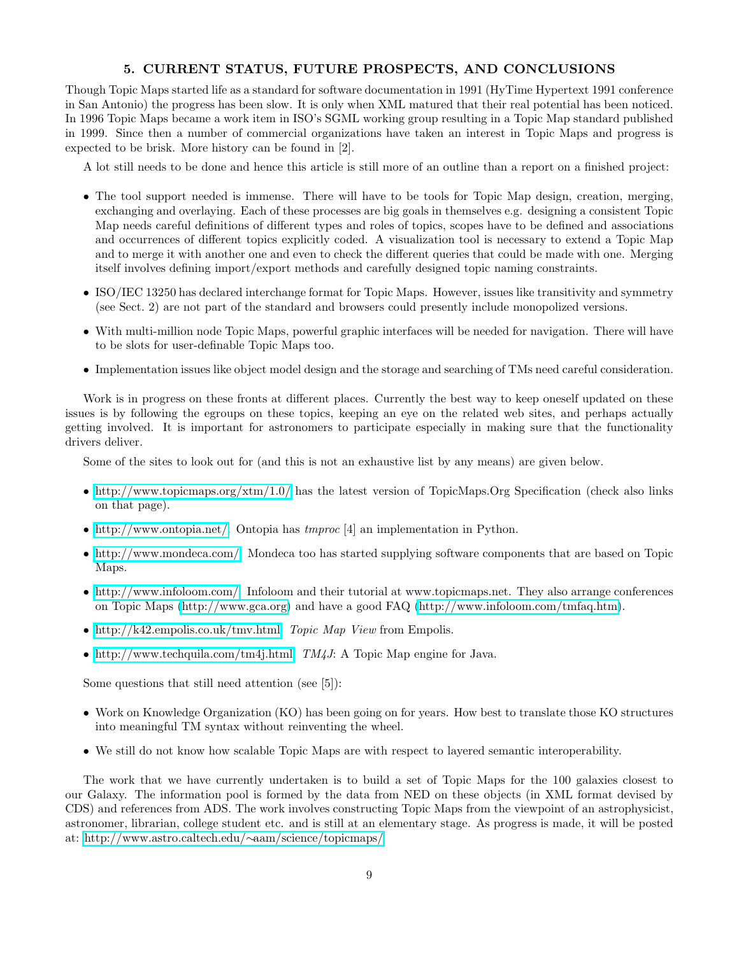# 5. CURRENT STATUS, FUTURE PROSPECTS, AND CONCLUSIONS

Though Topic Maps started life as a standard for software documentation in 1991 (HyTime Hypertext 1991 conference in San Antonio) the progress has been slow. It is only when XML matured that their real potential has been noticed. In 1996 Topic Maps became a work item in ISO's SGML working group resulting in a Topic Map standard published in 1999. Since then a number of commercial organizations have taken an interest in Topic Maps and progress is expected to be brisk. More history can be found in [2].

A lot still needs to be done and hence this article is still more of an outline than a report on a finished project:

- The tool support needed is immense. There will have to be tools for Topic Map design, creation, merging, exchanging and overlaying. Each of these processes are big goals in themselves e.g. designing a consistent Topic Map needs careful definitions of different types and roles of topics, scopes have to be defined and associations and occurrences of different topics explicitly coded. A visualization tool is necessary to extend a Topic Map and to merge it with another one and even to check the different queries that could be made with one. Merging itself involves defining import/export methods and carefully designed topic naming constraints.
- ISO/IEC 13250 has declared interchange format for Topic Maps. However, issues like transitivity and symmetry (see Sect. 2) are not part of the standard and browsers could presently include monopolized versions.
- With multi-million node Topic Maps, powerful graphic interfaces will be needed for navigation. There will have to be slots for user-definable Topic Maps too.
- Implementation issues like object model design and the storage and searching of TMs need careful consideration.

Work is in progress on these fronts at different places. Currently the best way to keep oneself updated on these issues is by following the egroups on these topics, keeping an eye on the related web sites, and perhaps actually getting involved. It is important for astronomers to participate especially in making sure that the functionality drivers deliver.

Some of the sites to look out for (and this is not an exhaustive list by any means) are given below.

- <http://www.topicmaps.org/xtm/1.0/> has the latest version of TopicMaps.Org Specification (check also links on that page).
- [http://www.ontopia.net/.](http://www.ontopia.net/) Ontopia has tmproc [4] an implementation in Python.
- [http://www.mondeca.com/.](http://www.mondeca.com/) Mondeca too has started supplying software components that are based on Topic Maps.
- [http://www.infoloom.com/.](http://www.infoloom.com/) Infoloom and their tutorial at www.topicmaps.net. They also arrange conferences on Topic Maps [\(http://www.gca.org\)](http://www.gca.org) and have a good FAQ [\(http://www.infoloom.com/tmfaq.htm\)](http://www.infoloom.com/tmfaq.htm).
- [http://k42.empolis.co.uk/tmv.html.](http://k42.empolis.co.uk/tmv.html) Topic Map View from Empolis.
- [http://www.techquila.com/tm4j.html.](http://www.techquila.com/tm4j.html)  $TM4J$ : A Topic Map engine for Java.

Some questions that still need attention (see [5]):

- Work on Knowledge Organization (KO) has been going on for years. How best to translate those KO structures into meaningful TM syntax without reinventing the wheel.
- We still do not know how scalable Topic Maps are with respect to layered semantic interoperability.

The work that we have currently undertaken is to build a set of Topic Maps for the 100 galaxies closest to our Galaxy. The information pool is formed by the data from NED on these objects (in XML format devised by CDS) and references from ADS. The work involves constructing Topic Maps from the viewpoint of an astrophysicist, astronomer, librarian, college student etc. and is still at an elementary stage. As progress is made, it will be posted at: [http://www.astro.caltech.edu/](http://www.astro.caltech.edu/$sim !$aam/science/topicmaps/)∼aam/science/topicmaps/.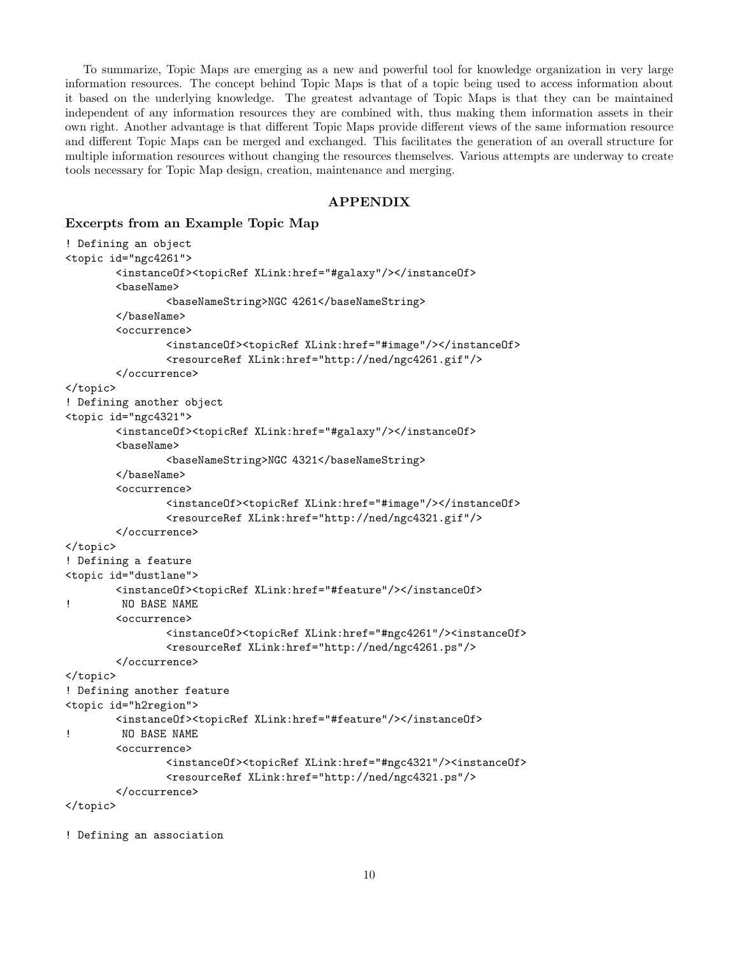To summarize, Topic Maps are emerging as a new and powerful tool for knowledge organization in very large information resources. The concept behind Topic Maps is that of a topic being used to access information about it based on the underlying knowledge. The greatest advantage of Topic Maps is that they can be maintained independent of any information resources they are combined with, thus making them information assets in their own right. Another advantage is that different Topic Maps provide different views of the same information resource and different Topic Maps can be merged and exchanged. This facilitates the generation of an overall structure for multiple information resources without changing the resources themselves. Various attempts are underway to create tools necessary for Topic Map design, creation, maintenance and merging.

#### APPENDIX

#### Excerpts from an Example Topic Map

```
! Defining an object
<topic id="ngc4261">
        <instanceOf><topicRef XLink:href="#galaxy"/></instanceOf>
        <baseName>
                <baseNameString>NGC 4261</baseNameString>
        </baseName>
        <occurrence>
               <instanceOf><topicRef XLink:href="#image"/></instanceOf>
               <resourceRef XLink:href="http://ned/ngc4261.gif"/>
        </occurrence>
</topic>
! Defining another object
<topic id="ngc4321">
        <instanceOf><topicRef XLink:href="#galaxy"/></instanceOf>
        <baseName>
               <baseNameString>NGC 4321</baseNameString>
        </baseName>
        <occurrence>
                <instanceOf><topicRef XLink:href="#image"/></instanceOf>
                <resourceRef XLink:href="http://ned/ngc4321.gif"/>
        </occurrence>
</topic>
! Defining a feature
<topic id="dustlane">
        <instanceOf><topicRef XLink:href="#feature"/></instanceOf>
! NO BASE NAME
        <occurrence>
                <instanceOf><topicRef XLink:href="#ngc4261"/><instanceOf>
                <resourceRef XLink:href="http://ned/ngc4261.ps"/>
        </occurrence>
</topic>
! Defining another feature
<topic id="h2region">
        <instanceOf><topicRef XLink:href="#feature"/></instanceOf>
! NO BASE NAME
        <occurrence>
                <instanceOf><topicRef XLink:href="#ngc4321"/><instanceOf>
                <resourceRef XLink:href="http://ned/ngc4321.ps"/>
        </occurrence>
</topic>
! Defining an association
```